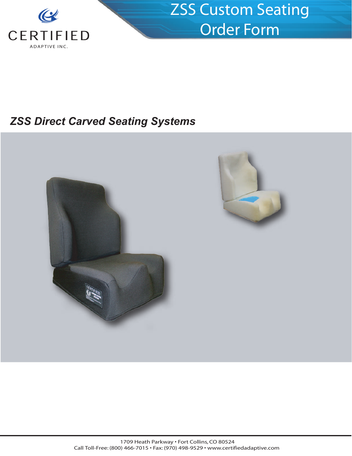

## *ZSS Direct Carved Seating Systems*



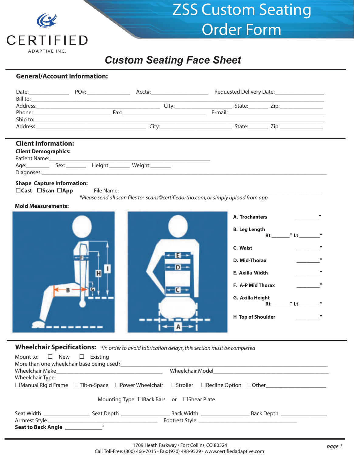

## *Custom Seating Face Sheet*

#### **General/Account Information:**

| <b>Client Information:</b>                                              |                                   |                                                                                     |                                                                                                             |                                                                 |
|-------------------------------------------------------------------------|-----------------------------------|-------------------------------------------------------------------------------------|-------------------------------------------------------------------------------------------------------------|-----------------------------------------------------------------|
| <b>Client Demographics:</b>                                             |                                   |                                                                                     |                                                                                                             |                                                                 |
|                                                                         | Age: Sex: Height: Weight: Weight: |                                                                                     |                                                                                                             |                                                                 |
| <b>Shape Capture Information:</b><br>$\Box$ Cast $\Box$ Scan $\Box$ App |                                   | *Please send all scan files to: scans@certifiedortho.com, or simply upload from app |                                                                                                             |                                                                 |
| <b>Mold Measurements:</b>                                               |                                   |                                                                                     |                                                                                                             |                                                                 |
| B                                                                       |                                   |                                                                                     | A. Trochanters<br><b>B. Leg Length</b><br>C. Waist<br>D. Mid-Thorax<br>E. Axilla Width<br>F. A-P Mid Thorax | $\overline{u}$<br>Rt $''$ Lt $''$<br>H Top of Shoulder <b>H</b> |

**Wheelchair Specifications:** *\*In order to avoid fabrication delays, this section must be completed*

| Mount to: $\square$ New $\square$ Existing<br>More than one wheelchair base being used?                                  |                            |                                           |                  |                          |            |  |
|--------------------------------------------------------------------------------------------------------------------------|----------------------------|-------------------------------------------|------------------|--------------------------|------------|--|
| Wheelchair Make                                                                                                          |                            |                                           | Wheelchair Model |                          |            |  |
| Wheelchair Type:                                                                                                         |                            |                                           |                  |                          |            |  |
| $\Box$ Manual Rigid Frame $\Box$ Tilt-n-Space $\Box$ Power Wheelchair $\Box$ Stroller $\Box$ Recline Option $\Box$ Other |                            |                                           |                  |                          |            |  |
|                                                                                                                          |                            | Mounting Type: □Back Bars or □Shear Plate |                  |                          |            |  |
| Seat Width <b>Seat Seat Seat Seat Seat Seat Seat Sea</b>                                                                 |                            | Seat Depth                                |                  | Back Width _____________ | Back Depth |  |
|                                                                                                                          |                            |                                           |                  |                          |            |  |
| <b>Seat to Back Angle</b>                                                                                                | $\boldsymbol{\mathcal{H}}$ |                                           |                  |                          |            |  |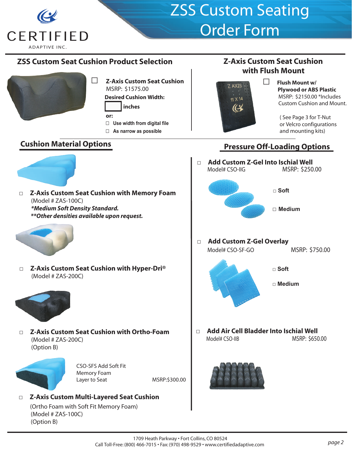

### **ZSS Custom Seat Cushion Product Selection**



- **□ Z-Axis Custom Seat Cushion** MSRP: \$1575.00  **Desired Cushion Width:**
	- **inches**
	- **or:**
	- **□ Use width from digital file**
	- **□ As narrow as possible**

### **Cushion Material Options**

**□ Z-Axis Custom Seat Cushion with Memory Foam**  (Model # ZAS-100C) *\*Medium Soft Density Standard. \*\*Other densities available upon request.*



**□ Z-Axis Custom Seat Cushion with Hyper-Dri®**  (Model # ZAS-200C)



**□ Z-Axis Custom Seat Cushion with Ortho-Foam**  (Model # ZAS-200C) (Option B)



CSO-SFS Add Soft Fit Memory Foam Layer to Seat MSRP:\$300.00

### **□ Z-Axis Custom Multi-Layered Seat Cushion**

(Ortho Foam with Soft Fit Memory Foam) (Model # ZAS-100C) (Option B)





**□ Flush Mount w/ Plywood or ABS Plastic**  MSRP: \$2150.00 \*Includes Custom Cushion and Mount.

> ( See Page 3 for T-Nut or Velcro configurations and mounting kits)

### **Pressure Off-Loading Options**

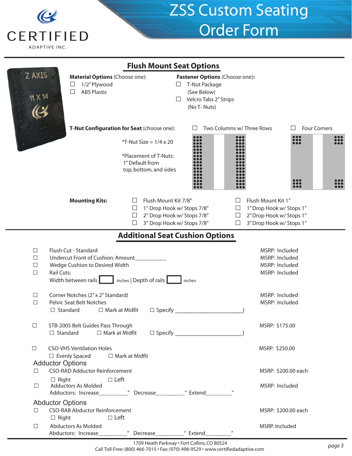

| <b>Flush Mount Seat Options</b>                                                                                                                                                                                                                                                                     |  |  |  |  |  |  |
|-----------------------------------------------------------------------------------------------------------------------------------------------------------------------------------------------------------------------------------------------------------------------------------------------------|--|--|--|--|--|--|
| <b>Z AXIS</b><br><b>Material Options (Choose one):</b><br>Fastener Options (Choose one):<br>1/2" Plywood<br>$\Box$<br>T-Nut Package<br>□<br><b>ABS Plastic</b><br>П<br>(See Below)<br>Velcro Tabs 2" Strips<br>$\Box$<br>(No T-Nuts)                                                                |  |  |  |  |  |  |
| T-Nut Configuration for Seat (choose one):<br>Two Columns w/ Three Rows<br><b>Four Corners</b>                                                                                                                                                                                                      |  |  |  |  |  |  |
| <b>:::</b><br>:::<br>$*T$ -Nut Size = $1/4 \times 20$<br>*Placement of T-Nuts:<br>1" Default from<br>top, bottom, and sides                                                                                                                                                                         |  |  |  |  |  |  |
| <b>Mounting Kits:</b><br>Flush Mount Kit 7/8"<br>Flush Mount Kit 1"<br>1" Drop Hook w/ Stops 7/8"<br>1" Drop Hook w/ Stops 1"<br>ப<br>ப<br>2" Drop Hook w/ Stops 7/8"<br>2" Drop Hook w/ Stops 1"<br>$\Box$<br>$\Box$<br>3" Drop Hook w/ Stops 7/8"<br>3" Drop Hook w/ Stops 1"<br>$\Box$<br>$\Box$ |  |  |  |  |  |  |
| <b>Additional Seat Cushion Options</b>                                                                                                                                                                                                                                                              |  |  |  |  |  |  |
| Flush Cut - Standard<br>MSRP: Included<br>$\Box$<br>Undercut Front of Cushion: Amount<br>MSRP: Included<br>$\Box$<br>Wedge Cushion to Desired Width<br>MSRP: Included<br>$\Box$<br><b>Rail Cuts:</b><br>MSRP: Included<br>$\Box$<br>inches   Depth of rails<br>Width between rails<br>inches        |  |  |  |  |  |  |
| Corner Notches (2" x 2" Standard)<br>MSRP: Included<br>$\Box$<br><b>Pelvic Seat Belt Notches</b><br>$\Box$<br>MSRP: Included<br>$\Box$ Standard<br>$\Box$ Mark at Midfit<br>$\Box$ Specify                                                                                                          |  |  |  |  |  |  |
| STB-200S Belt Guides Pass Through<br>MSRP: \$175.00<br>□<br>$\Box$ Mark at Midfit<br>$\Box$ Standard                                                                                                                                                                                                |  |  |  |  |  |  |
| <b>CSO-VHS Ventilation Holes</b><br>$\Box$<br>MSRP: \$250.00<br>$\Box$ Evenly Spaced<br>$\Box$ Mark at Midfit                                                                                                                                                                                       |  |  |  |  |  |  |
| <b>Adductor Options</b><br><b>CSO-RAD Adductor Reinforcement</b><br>MSRP: \$200.00 each<br>П                                                                                                                                                                                                        |  |  |  |  |  |  |
| $\Box$ Left<br>$\Box$ Right<br><b>Adductors As Molded</b><br>$\Box$<br>MSRP: Included                                                                                                                                                                                                               |  |  |  |  |  |  |
| <b>Abductor Options</b>                                                                                                                                                                                                                                                                             |  |  |  |  |  |  |
| <b>CSO-RAB Abductor Reinforcement</b><br>$\Box$<br>MSRP: \$200.00 each<br>$\Box$ Right<br>$\Box$ Left                                                                                                                                                                                               |  |  |  |  |  |  |
| Abductors As Molded<br>MSRP: Included<br>$\Box$<br>" Extend<br>Abductors: Increase<br>" Decrease<br>1700 Heath Barkways Fert Collins CO 80534                                                                                                                                                       |  |  |  |  |  |  |

1709 Heath Parkway · Fort Collins, CO 80524 Call Toll-Free: (800) 466-7015 • Fax: (970) 498-9529 • www.certifiedadaptive.com *page 3*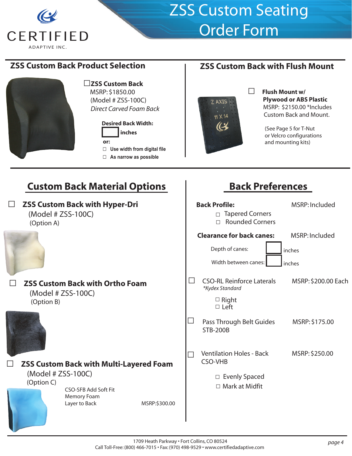

### **ZSS Custom Back Product Selection**



**□ZSS Custom Back** MSRP: \$1850.00 (Model # ZSS-100C)  *Direct Carved Foam Back*

#### **Desired Back Width: inches or: □ Use width from digital file**

**□ As narrow as possible**

### **ZSS Custom Back with Flush Mount**



#### **□ Flush Mount w/ Plywood or ABS Plastic**  MSRP: \$2150.00 \*Includes Custom Back and Mount.

 (See Page 5 for T-Nut or Velcro configurations and mounting kits)

## **Custom Back Material Options**

### **□ ZSS Custom Back with Hyper-Dri**  (Model # ZSS-100C) (Option A)



### **□ ZSS Custom Back with Ortho Foam**  (Model # ZSS-100C) (Option B)



**□ ZSS Custom Back with Multi-Layered Foam**  (Model # ZSS-100C) (Option C) CSO-SFB Add Soft Fit

Memory Foam Layer to Back MSRP:\$300.00

## **Back Preferences**

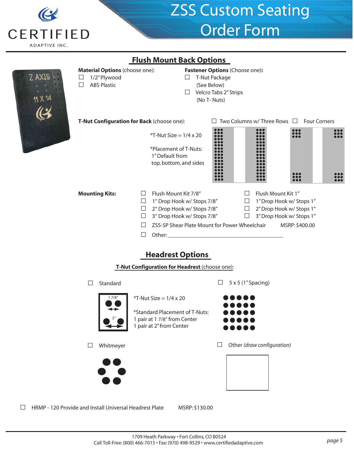

Z AXIS

## ZSS Custom Seating Order Form

|                                                                                      | <u>FIUSII MUUIIL DALK UPUUIIS</u>                                                                                                                                   |                                                                                                        |                                                                                                                      |  |
|--------------------------------------------------------------------------------------|---------------------------------------------------------------------------------------------------------------------------------------------------------------------|--------------------------------------------------------------------------------------------------------|----------------------------------------------------------------------------------------------------------------------|--|
| Material Options (choose one):<br>1/2" Plywood<br>$\perp$<br><b>ABS Plastic</b><br>□ | $\Box$<br>⊔                                                                                                                                                         | Fastener Options (Choose one):<br>T-Nut Package<br>(See Below)<br>Velcro Tabs 2" Strips<br>(No T-Nuts) |                                                                                                                      |  |
|                                                                                      | T-Nut Configuration for Back (choose one):                                                                                                                          | $\Box$ Two Columns w/ Three Rows $\Box$ Four Corners                                                   |                                                                                                                      |  |
|                                                                                      | $*T$ -Nut Size = 1/4 x 20                                                                                                                                           |                                                                                                        |                                                                                                                      |  |
|                                                                                      | *Placement of T-Nuts:<br>1" Default from<br>top, bottom, and sides                                                                                                  |                                                                                                        |                                                                                                                      |  |
|                                                                                      |                                                                                                                                                                     |                                                                                                        |                                                                                                                      |  |
| <b>Mounting Kits:</b>                                                                | Flush Mount Kit 7/8"<br>$\Box$<br>$\Box$ 1" Drop Hook w/ Stops 7/8"<br>2" Drop Hook w/ Stops 7/8"<br>$\Box$<br>3" Drop Hook w/ Stops 7/8"<br>$\Box$<br>$\perp$<br>П | $\Box$<br>$\Box$<br>ZSS-SP Shear Plate Mount for Power Wheelchair MSRP: \$400.00                       | Flush Mount Kit 1"<br>$\Box$ 1" Drop Hook w/ Stops 1"<br>$\Box$ 2" Drop Hook w/ Stops 1"<br>3" Drop Hook w/ Stops 1" |  |
|                                                                                      | <b>Headrest Options</b><br>T-Nut Configuration for Headrest (choose one):                                                                                           |                                                                                                        |                                                                                                                      |  |
| Standard<br>$\mathsf{L}$                                                             |                                                                                                                                                                     | $5 \times 5$ (1" Spacing)                                                                              |                                                                                                                      |  |
|                                                                                      |                                                                                                                                                                     |                                                                                                        |                                                                                                                      |  |

**Flush Mount Back Options**



 $*T-Nut Size = 1/4 \times 20$ 

 \*Standard Placement of T-Nuts: 1 pair at 1 7/8" from Center 1 pair at 2" from Center







**□** Other *(draw configuration)*



**□** HRMP - 120 Provide and Install Universal Headrest Plate MSRP: \$130.00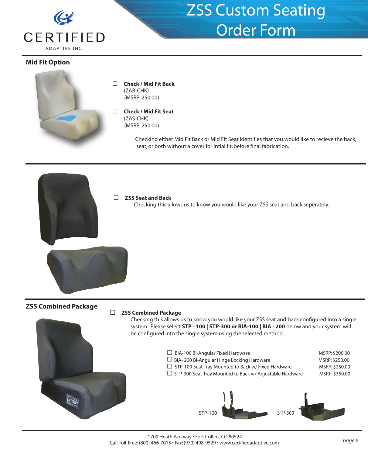

#### **Mid Fit Option**



**□ Check / Mid Fit Back** (ZAB-CHK) (MSRP: 250.00)

#### **□ Check / Mid Fit Seat**

(ZAS-CHK) (MSRP: 250.00)

> Checking either Mid Fit Back or Mid Fit Seat identifies that you would like to recieve the back, seat, or both without a cover for intial fit, before final fabrication.

#### **□ ZSS Seat and Back**

Checking this allows us to know you would like your ZSS seat and back seperately.

#### **ZSS Combined Package**

#### **□ ZSS Combined Package**

 Checking this allows us to know you would like your ZSS seat and back configured into a single system. Please select **STP - 100 | STP-300 or BIA-100 | BIA - 200** below and your system will be configured into the single system using the selected method.

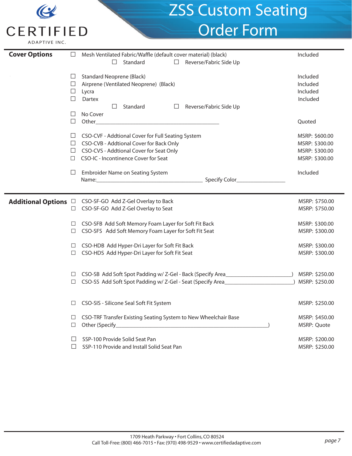|                                          | <b>ZSS Custom Seating</b>                                                                                                                                                                      |                                                                      |
|------------------------------------------|------------------------------------------------------------------------------------------------------------------------------------------------------------------------------------------------|----------------------------------------------------------------------|
| <b>CERTIFIED</b><br><b>ADAPTIVE INC.</b> | <b>Order Form</b>                                                                                                                                                                              |                                                                      |
| <b>Cover Options</b>                     | Mesh Ventilated Fabric/Waffle (default cover material) (black)<br>$\Box$<br>Standard<br>$\Box$<br>Reverse/Fabric Side Up                                                                       | Included                                                             |
| ⊔<br>$\Box$<br>⊔<br>П                    | <b>Standard Neoprene (Black)</b><br>Airprene (Ventilated Neoprene) (Black)<br>Lycra<br><b>Dartex</b><br>П<br>Standard<br>Reverse/Fabric Side Up<br>⊔                                           | Included<br>Included<br>Included<br>Included                         |
| $\Box$                                   | No Cover                                                                                                                                                                                       | Quoted                                                               |
| ⊔<br>П                                   | CSO-CVF - Addtional Cover for Full Seating System<br>CSO-CVB - Addtional Cover for Back Only<br>$\Box$<br>CSO-CVS - Addtional Cover for Seat Only<br>⊔<br>CSO-IC - Incontinence Cover for Seat | MSRP: \$600.00<br>MSRP: \$300.00<br>MSRP: \$300.00<br>MSRP: \$300.00 |
| $\Box$                                   | Embroider Name on Seating System                                                                                                                                                               | Included                                                             |
| <b>Additional Options</b> □<br>□         | CSO-SF-GO Add Z-Gel Overlay to Back<br>CSO-SF-GO Add Z-Gel Overlay to Seat                                                                                                                     | MSRP: \$750.00<br>MSRP: \$750.00                                     |
| □                                        | CSO-SFB Add Soft Memory Foam Layer for Soft Fit Back<br>$\Box$<br>CSO-SFS Add Soft Memory Foam Layer for Soft Fit Seat                                                                         | MSRP: \$300.00<br>MSRP: \$300.00                                     |
| $\Box$                                   | CSO-HDB Add Hyper-Dri Layer for Soft Fit Back<br>CSO-HDS Add Hyper-Dri Layer for Soft Fit Seat<br>□                                                                                            | MSRP: \$300.00<br>MSRP: \$300.00                                     |
|                                          | CSO-SB Add Soft Spot Padding w/ Z-Gel - Back (Specify Area<br>⊔<br>CSO-SS Add Soft Spot Padding w/ Z-Gel - Seat (Specify Area______________________<br>$\Box$                                  | MSRP: \$250.00<br>MSRP: \$250.00                                     |
|                                          | CSO-SIS - Silicone Seal Soft Fit System<br>□                                                                                                                                                   | MSRP: \$250.00                                                       |
| $\Box$                                   | CSO-TRF Transfer Existing Seating System to New Wheelchair Base<br>Other (Specify_<br>□                                                                                                        | MSRP: \$450.00<br>MSRP: Quote                                        |
|                                          | SSP-100 Provide Solid Seat Pan<br>SSP-110 Provide and Install Solid Seat Pan<br>$\perp$                                                                                                        | MSRP: \$200.00<br>MSRP: \$250.00                                     |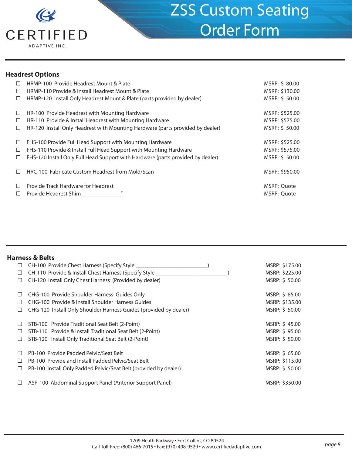

### **Headrest Options**

| $\Box$ | HRMP-100 Provide Headrest Mount & Plate                                         | MSRP: \$80.00  |
|--------|---------------------------------------------------------------------------------|----------------|
| $\Box$ | HRMP-110 Provide & Install Headrest Mount & Plate                               | MSRP: \$130.00 |
| $\Box$ | HRMP-120 Install Only Headrest Mount & Plate (parts provided by dealer)         | MSRP: \$50.00  |
| $\Box$ | HR-100 Provide Headrest with Mounting Hardware                                  | MSRP: \$525.00 |
| $\Box$ | HR-110 Provide & Install Headrest with Mounting Hardware                        | MSRP: \$575.00 |
| $\Box$ | HR-120 Install Only Headrest with Mounting Hardware (parts provided by dealer)  | MSRP: \$50.00  |
| $\Box$ | FHS-100 Provide Full Head Support with Mounting Hardware                        | MSRP: \$525.00 |
| $\Box$ | FHS-110 Provide & Install Full Head Support with Mounting Hardware              | MSRP: \$575.00 |
| $\Box$ | FHS-120 Install Only Full Head Support with Hardware (parts provided by dealer) | MSRP: \$50.00  |
| П      | HRC-100 Fabricate Custom Headrest from Mold/Scan                                | MSRP: \$950.00 |
| $\Box$ | Provide Track Hardware for Headrest                                             | MSRP: Quote    |
| □      | $^{\prime\prime}$<br>Provide Headrest Shim                                      | MSRP: Quote    |

#### **Harness & Belts**

| ⊔                        | CH-100 Provide Chest Harness (Specify Style                       | MSRP: \$175.00 |
|--------------------------|-------------------------------------------------------------------|----------------|
| ⊔                        | CH-110 Provide & Install Chest Harness (Specify Style ____        | MSRP: \$225.00 |
| Ш                        | CH-120 Install Only Chest Harness (Provided by dealer)            | MSRP: \$50.00  |
| Ш                        | CHG-100 Provide Shoulder Harness Guides Only                      | MSRP: \$85.00  |
| $\Box$                   | CHG-100 Provide & Install Shoulder Harness Guides                 | MSRP: \$135.00 |
|                          | CHG-120 Install Only Shoulder Harness Guides (provided by dealer) | MSRP: \$50.00  |
| $\overline{\phantom{a}}$ | STB-100 Provide Traditional Seat Belt (2-Point)                   | MSRP: \$45.00  |
| $\Box$                   | STB-110 Provide & Install Traditional Seat Belt (2-Point)         | MSRP: \$95.00  |
| L                        | STB-120 Install Only Traditional Seat Belt (2-Point)              | MSRP: \$50.00  |
| П                        | PB-100 Provide Padded Pelvic/Seat Belt                            | MSRP: \$ 65.00 |
| H                        | PB-100 Provide and Install Padded Pelvic/Seat Belt                | MSRP: \$115.00 |
|                          | PB-100 Install Only Padded Pelvic/Seat Belt (provided by dealer)  | MSRP: \$ 50.00 |
| $\overline{\phantom{a}}$ | ASP-100 Abdominal Support Panel (Anterior Support Panel)          | MSRP: \$350.00 |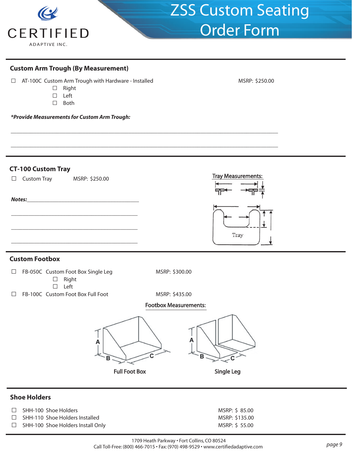

#### **Custom Arm Trough (By Measurement)**

- □ AT-100C Custom Arm Trough with Hardware Installed MSRP: \$250.00
	- **□** Right
	- **□** Left
	- **□** Both

*\*Provide Measurements for Custom Arm Trough:*

#### **CT-100 Custom Tray**



\_\_\_\_\_\_\_\_\_\_\_\_\_\_\_\_\_\_\_\_\_\_\_\_\_\_\_\_\_\_\_\_\_\_\_\_\_\_\_\_\_\_\_\_\_\_\_\_\_\_\_\_\_\_\_\_\_\_\_\_\_\_\_\_\_\_\_\_\_\_\_\_\_\_\_\_\_\_\_\_\_\_\_\_\_\_\_\_\_\_\_\_\_

\_\_\_\_\_\_\_\_\_\_\_\_\_\_\_\_\_\_\_\_\_\_\_\_\_\_\_\_\_\_\_\_\_\_\_\_\_\_\_\_\_\_\_\_\_\_\_\_\_\_\_\_\_\_\_\_\_\_\_\_\_\_\_\_\_\_\_\_\_\_\_\_\_\_\_\_\_\_\_\_\_\_\_\_\_\_\_\_\_\_\_\_\_

- **□** Left
- □ FB-100C Custom Foot Box Full Foot MSRP: \$435.00

#### **Footbox Measurements:**



#### **Shoe Holders**

- □ SHH-100 Shoe Holders MSRP: \$ 85.00
- 
- □ SHH-110 Shoe Holders Installed MSRP: \$135.00<br>□ SHH-100 Shoe Holders Install Only NSRP: \$55.00 □ SHH-100 Shoe Holders Install Only